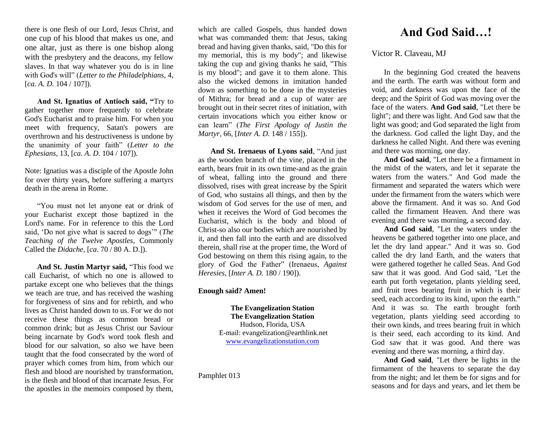there is one flesh of our Lord, Jesus Christ, and one cup of his blood that makes us one, and one altar, just as there is one bishop along with the presbytery and the deacons, my fellow slaves. In that way whatever you do is in line with God's will" (*Letter to the Philadelphians*, 4, [*ca. A. D.* 104 / 107]).

**And St. Ignatius of Antioch said, "**Try to gather together more frequently to celebrate God's Eucharist and to praise him. For when you meet with frequency, Satan's powers are overthrown and his destructiveness is undone by the unanimity of your faith" (*Letter to the Ephesians,* 13, [*ca. A. D.* 104 / 107]).

Note: Ignatius was a disciple of the Apostle John for over thirty years, before suffering a martyrs death in the arena in Rome.

"You must not let anyone eat or drink of your Eucharist except those baptized in the Lord's name. For in reference to this the Lord said, 'Do not give what is sacred to dogs'" (*The Teaching of the Twelve Apostles*, Commonly Called the *Didache,* [*ca*. 70 / 80 A. D.]).

**And St. Justin Martyr said,** "This food we call Eucharist, of which no one is allowed to partake except one who believes that the things we teach are true, and has received the washing for forgiveness of sins and for rebirth, and who lives as Christ handed down to us. For we do not receive these things as common bread or common drink; but as Jesus Christ our Saviour being incarnate by God's word took flesh and blood for our salvation, so also we have been taught that the food consecrated by the word of prayer which comes from him, from which our flesh and blood are nourished by transformation, is the flesh and blood of that incarnate Jesus. For the apostles in the memoirs composed by them,

which are called Gospels, thus handed down what was commanded them: that Jesus, taking bread and having given thanks, said, "Do this for my memorial, this is my body"; and likewise taking the cup and giving thanks he said, "This is my blood"; and gave it to them alone. This also the wicked demons in imitation handed down as something to be done in the mysteries of Mithra; for bread and a cup of water are brought out in their secret rites of initiation, with certain invocations which you either know or can learn" (*The First Apology of Justin the Martyr,* 66, [*Inter A. D.* 148 / 155]).

**And St. Irenaeus of Lyons said**, "And just as the wooden branch of the vine, placed in the earth, bears fruit in its own time-and as the grain of wheat, falling into the ground and there dissolved, rises with great increase by the Spirit of God, who sustains all things, and then by the wisdom of God serves for the use of men, and when it receives the Word of God becomes the Eucharist, which is the body and blood of Christ-so also our bodies which are nourished by it, and then fall into the earth and are dissolved therein, shall rise at the proper time, the Word of God bestowing on them this rising again, to the glory of God the Father" (Irenaeus, *Against Heresies,* [*Inter A. D.* 180 / 190]).

## **Enough said? Amen!**

**The Evangelization Station The Evangelization Station** Hudson, Florida, USA E-mail: evangelization@earthlink.net [www.evangelizationstation.com](http://www.pjpiisoe.org/)

Pamphlet 013

## **And God Said…!**

## Victor R. Claveau, MJ

In the beginning God created the heavens and the earth. The earth was without form and void, and darkness was upon the face of the deep; and the Spirit of God was moving over the face of the waters. **And God said**, "Let there be light"; and there was light. And God saw that the light was good; and God separated the light from the darkness. God called the light Day, and the darkness he called Night. And there was evening and there was morning, one day.

**And God said**, "Let there be a firmament in the midst of the waters, and let it separate the waters from the waters." And God made the firmament and separated the waters which were under the firmament from the waters which were above the firmament. And it was so. And God called the firmament Heaven. And there was evening and there was morning, a second day.

**And God said**, "Let the waters under the heavens be gathered together into one place, and let the dry land appear." And it was so. God called the dry land Earth, and the waters that were gathered together he called Seas. And God saw that it was good. And God said, "Let the earth put forth vegetation, plants yielding seed, and fruit trees bearing fruit in which is their seed, each according to its kind, upon the earth." And it was so. The earth brought forth vegetation, plants yielding seed according to their own kinds, and trees bearing fruit in which is their seed, each according to its kind. And God saw that it was good. And there was evening and there was morning, a third day.

**And God said**, "Let there be lights in the firmament of the heavens to separate the day from the night; and let them be for signs and for seasons and for days and years, and let them be